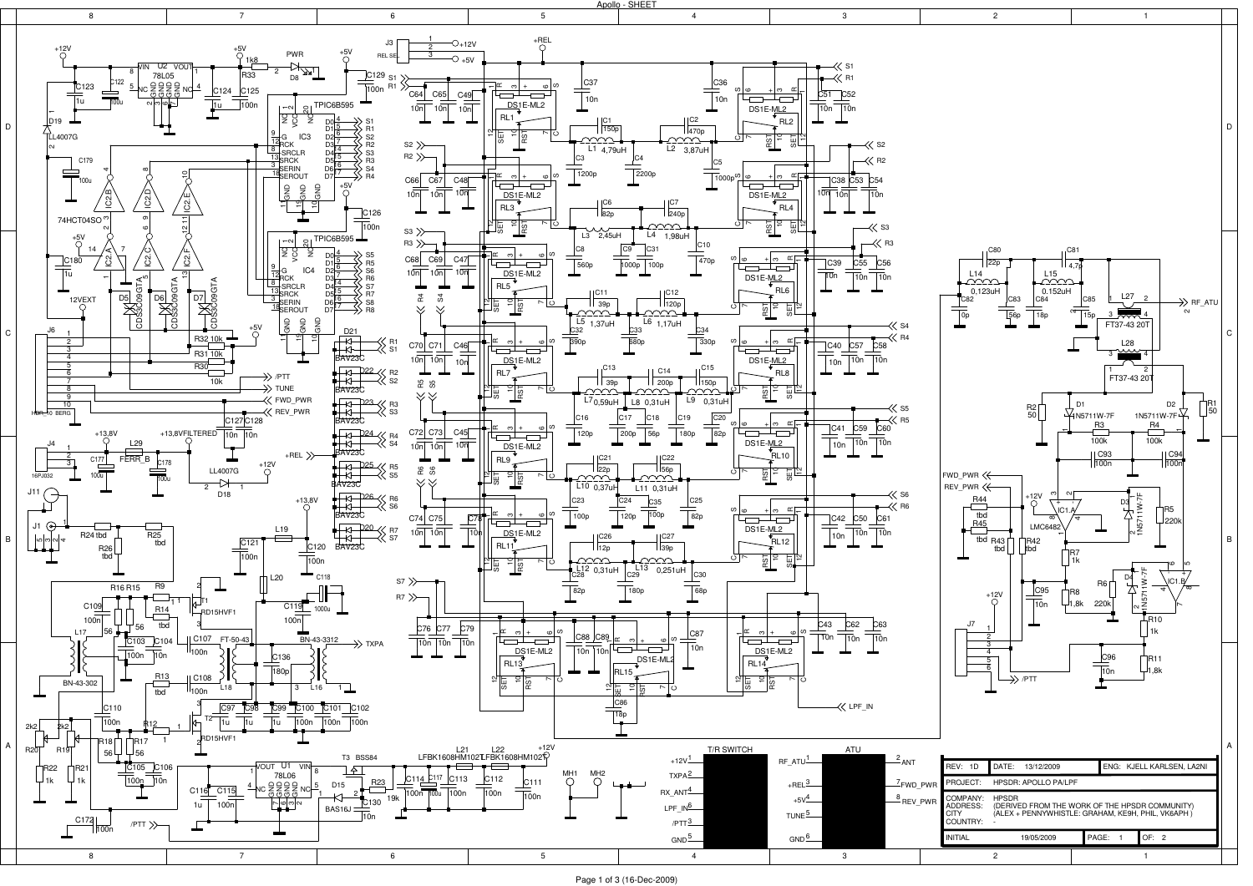

Page 1 of 3 (16-Dec-2009)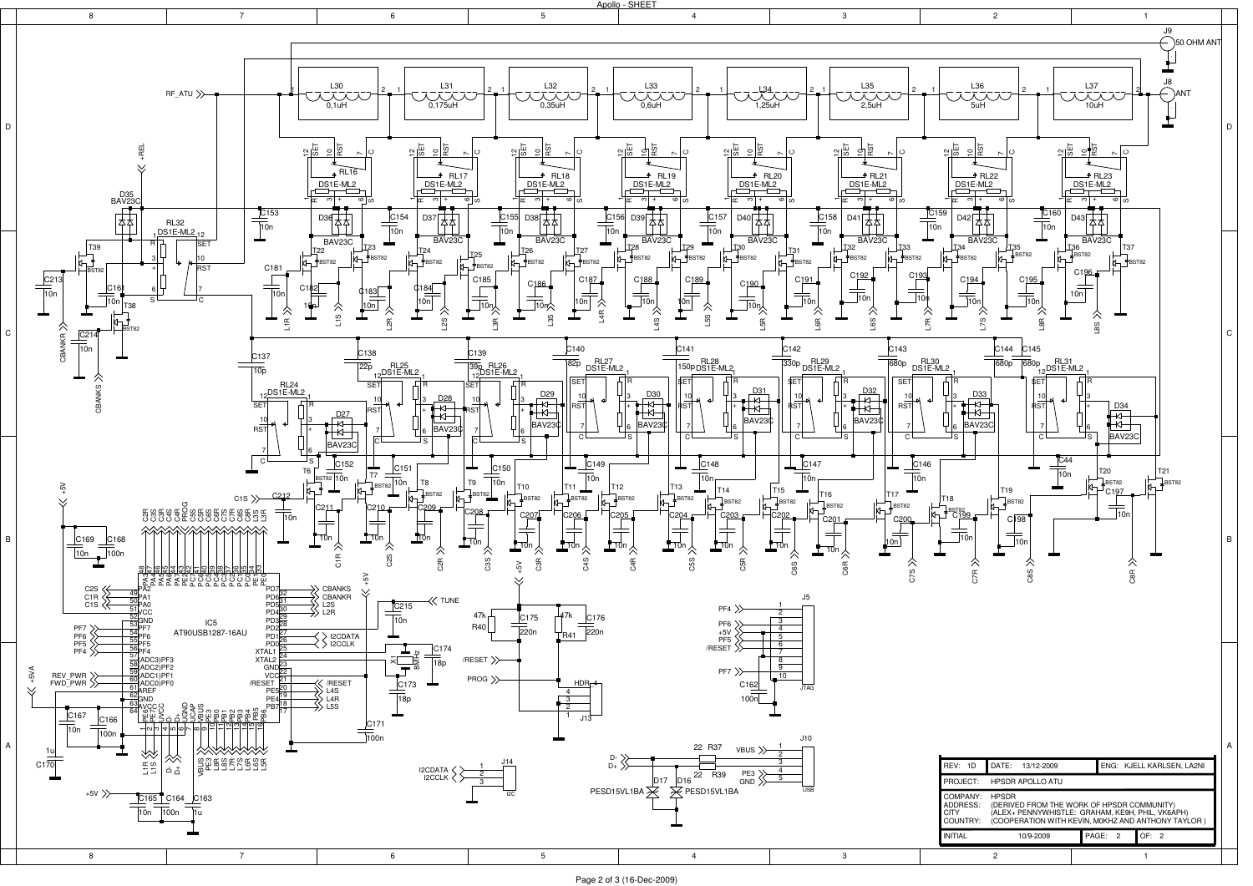

Page 2 of 3 (16-Dec-2009)